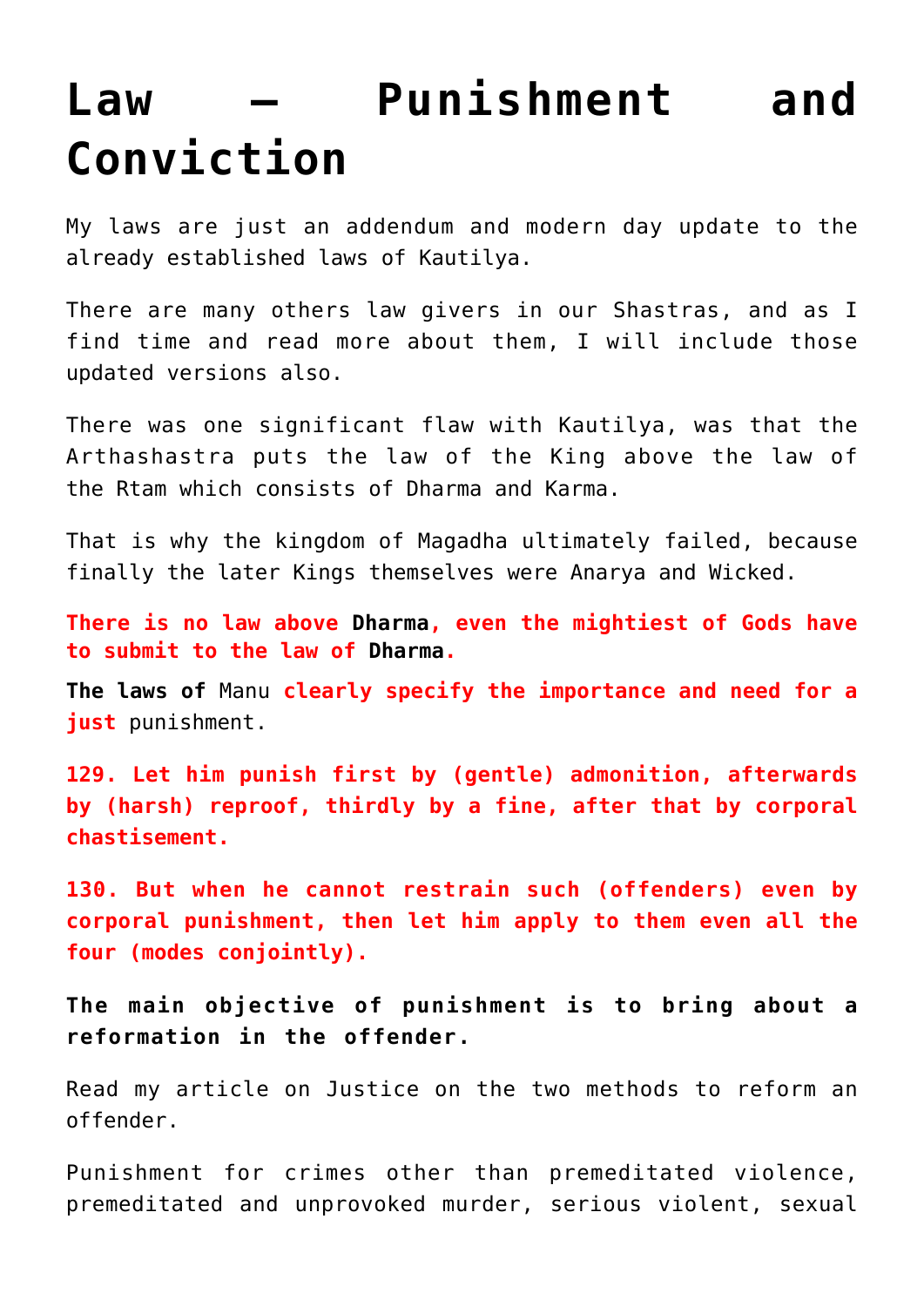## **[Law – Punishment and](https://aryadharma.world/laws/details-of-the-law/law-crimes/law-punishments-and-conviction/) [Conviction](https://aryadharma.world/laws/details-of-the-law/law-crimes/law-punishments-and-conviction/)**

My laws are just an addendum and modern day update to the already [established laws](http://www.columbia.edu/itc/mealac/pritchett/00litlinks/kautilya/book03.htm) of [Kautilya](https://aryadharma.world/bharat/kautilya/).

There are many others law givers in our [Shastras](https://en.wikipedia.org/wiki/Shastra), and as I find time and read more about them, I will include those updated versions also.

There was one significant flaw with [Kautilya,](http://aryadharma.world/bharat/kautilya/) was that the [Arthashastra](https://en.wikipedia.org/wiki/Arthashastra) puts the law of the King above the law of the [Rtam](https://en.wikipedia.org/wiki/%E1%B9%9Ata) which consists of [Dharma](http://aryadharma.world/concepts/brahman/dharma/) and [Karma.](https://en.wikipedia.org/wiki/Karma)

That is why the kingdom of [Magadha](http://en.wikipedia.org/wiki/Magadha) ultimately failed, because finally the later Kings themselves were [Anarya](http://aryadharma.world/concepts/whoisafool/) and [Wicked.](http://aryadharma.world/concepts/wicked/)

**There is no law above [Dharma,](http://aryadharma.world/concepts/brahman/dharma/) even the mightiest of Gods have to submit to the law of [Dharma](http://aryadharma.world/concepts/brahman/dharma/).**

**The laws of** [Manu](http://aryadharma.world/manu/) **clearly specify the importance and need for a just** [punishment.](http://aryadharma.world/punishment/)

**129. Let him punish first by (gentle) admonition, afterwards by (harsh) reproof, thirdly by a fine, after that by corporal chastisement.**

**130. But when he cannot restrain such (offenders) even by corporal punishment, then let him apply to them even all the four (modes conjointly).**

**The main objective of punishment is to bring about a reformation in the offender.**

Read my article on [Justice](http://aryadharma.world/justice/) on the two methods to reform an offender.

Punishment for crimes other than premeditated violence, premeditated and unprovoked murder, serious violent, sexual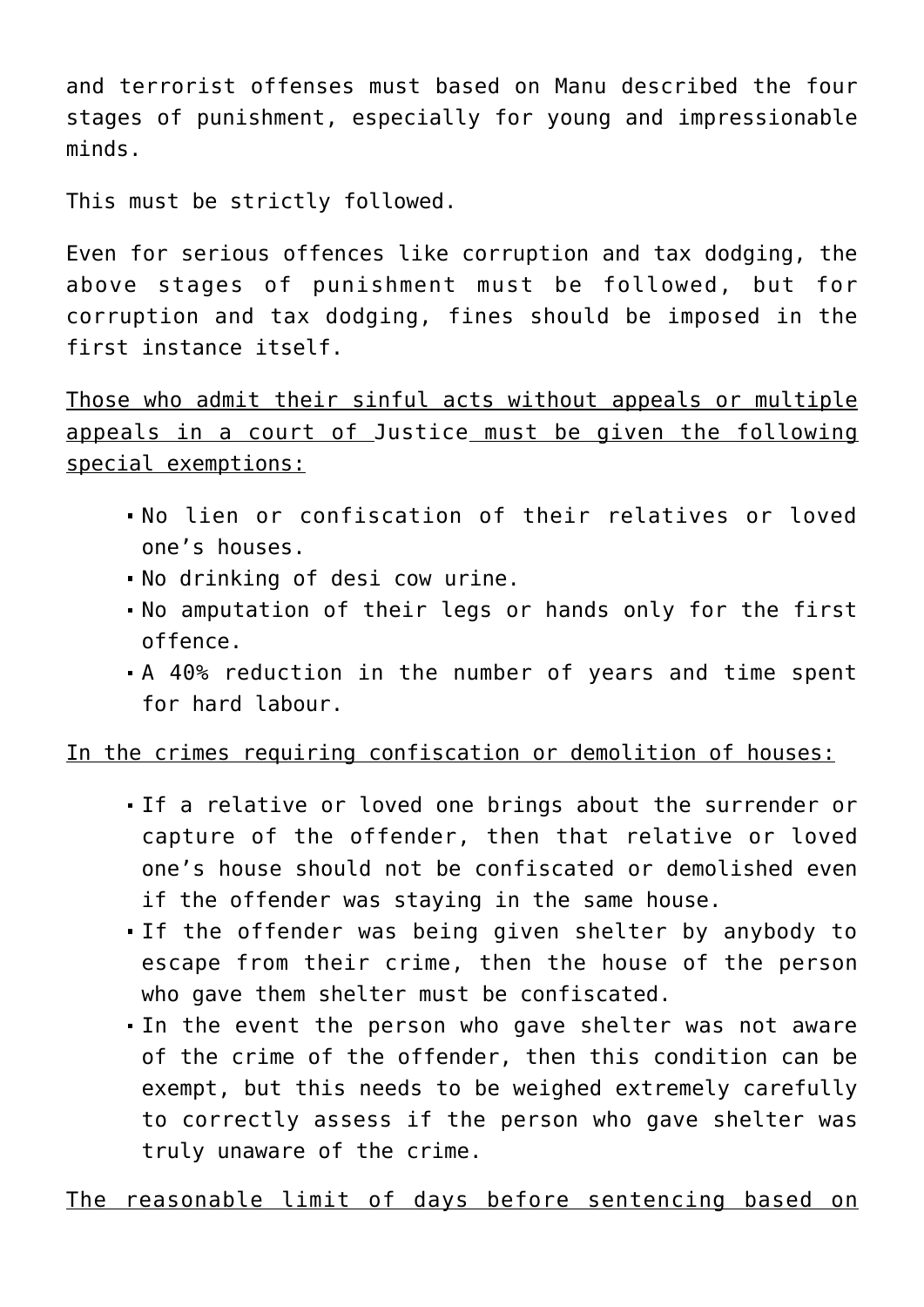and terrorist offenses must based on [Manu](http://aryadharma.world/manu/) described the four stages of [punishment,](http://aryadharma.world/punishment/) especially for young and impressionable minds.

This must be strictly followed.

Even for serious offences like corruption and tax dodging, the above stages of punishment must be followed, but for [corruption](http://aryadharma.world/laws_corruption-2/) and [tax dodging](http://aryadharma.world/laws_blackmoney/), fines should be imposed in the first instance itself.

Those who admit their sinful acts without appeals or multiple appeals in a court of [Justice](http://aryadharma.world/laws/justice/) must be given the following special exemptions:

- No lien or confiscation of their relatives or loved one's houses.
- No drinking of desi cow urine.
- No amputation of their legs or hands only for the first offence.
- A 40% reduction in the number of years and time spent for hard labour.

## In the crimes requiring confiscation or demolition of houses:

- If a relative or loved one brings about the surrender or capture of the offender, then that relative or loved one's house should not be confiscated or demolished even if the offender was staying in the same house.
- If the offender was being given shelter by anybody to escape from their crime, then the house of the person who gave them shelter must be confiscated.
- In the event the person who gave shelter was not aware of the crime of the offender, then this condition can be exempt, but this needs to be weighed extremely carefully to correctly assess if the person who gave shelter was truly unaware of the crime.

The reasonable limit of days before sentencing based on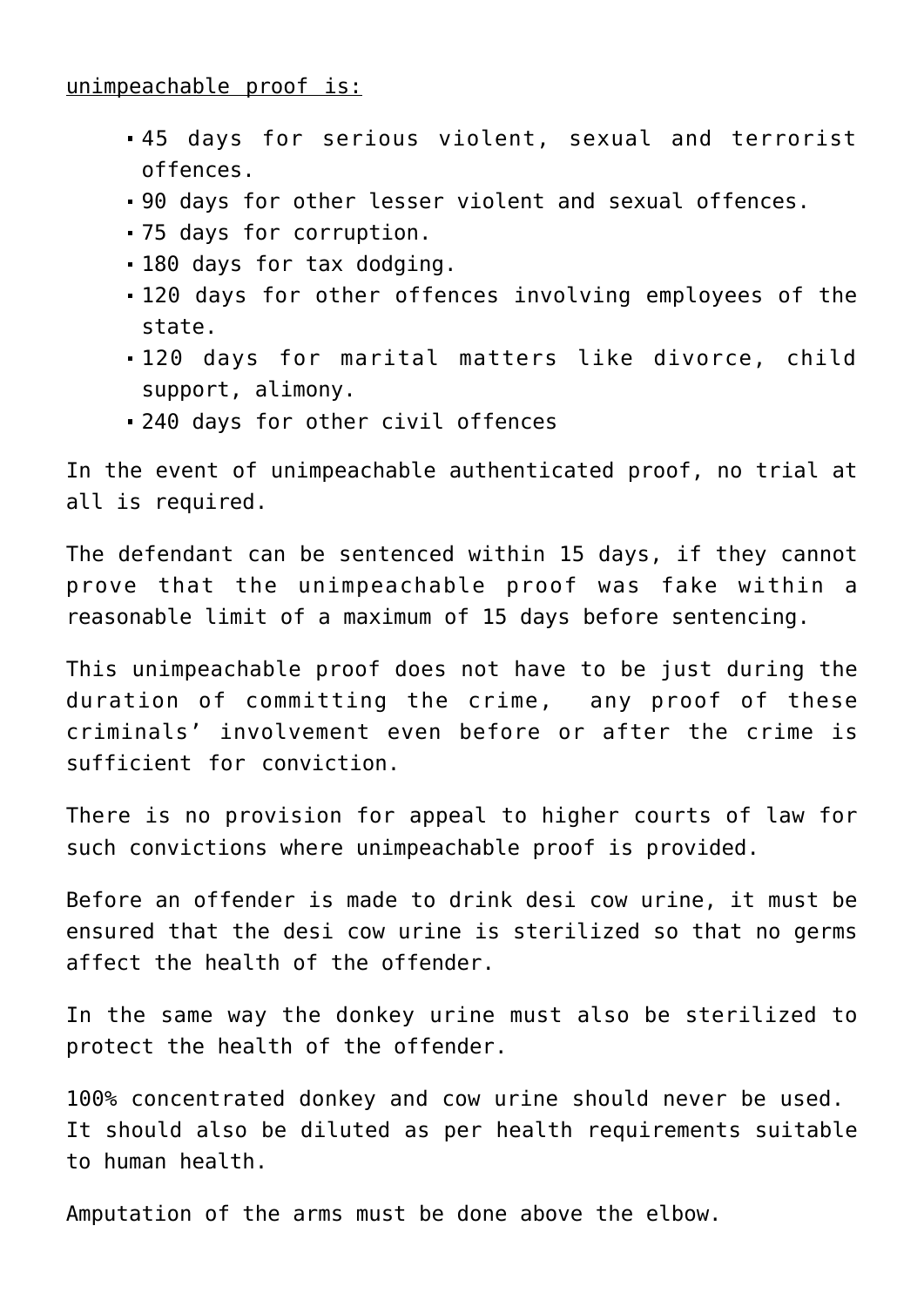unimpeachable proof is:

- 45 days for serious [violent, sexual and terrorist](http://aryadharma.world/laws/details-of-the-law/laws_violenceandsexoffenses/) [offences.](http://aryadharma.world/laws/details-of-the-law/laws_violenceandsexoffenses/)
- 90 days for other lesser [violent and sexual offences.](http://aryadharma.world/laws/details-of-the-law/laws_violenceandsexoffenses/)
- 75 days for [corruption](http://aryadharma.world/laws/details-of-the-law/laws_corruption-2/).
- 180 days for [tax dodging.](http://aryadharma.world/laws/details-of-the-law/laws_blackmoney/)
- 120 days for other offences involving [employees of the](https://aryadharma.world/concepts/thestate/employeesofthestate/) [state.](https://aryadharma.world/concepts/thestate/employeesofthestate/)
- 120 days for marital matters like divorce, child support, alimony.
- 240 days for other civil offences

In the event of unimpeachable authenticated proof, no trial at all is required.

The defendant can be sentenced within 15 days, if they cannot prove that the unimpeachable proof was fake within a reasonable limit of a maximum of 15 days before sentencing.

This unimpeachable proof does not have to be just during the duration of committing the crime, any proof of these criminals' involvement even before or after the crime is sufficient for conviction.

There is no provision for appeal to higher courts of law for such convictions where unimpeachable proof is provided.

Before an offender is made to drink desi cow urine, it must be ensured that the desi cow urine is sterilized so that no germs affect the health of the offender.

In the same way the donkey urine must also be sterilized to protect the health of the offender.

100% concentrated donkey and cow urine should never be used. It should also be diluted as per health requirements suitable to human health.

Amputation of the arms must be done above the elbow.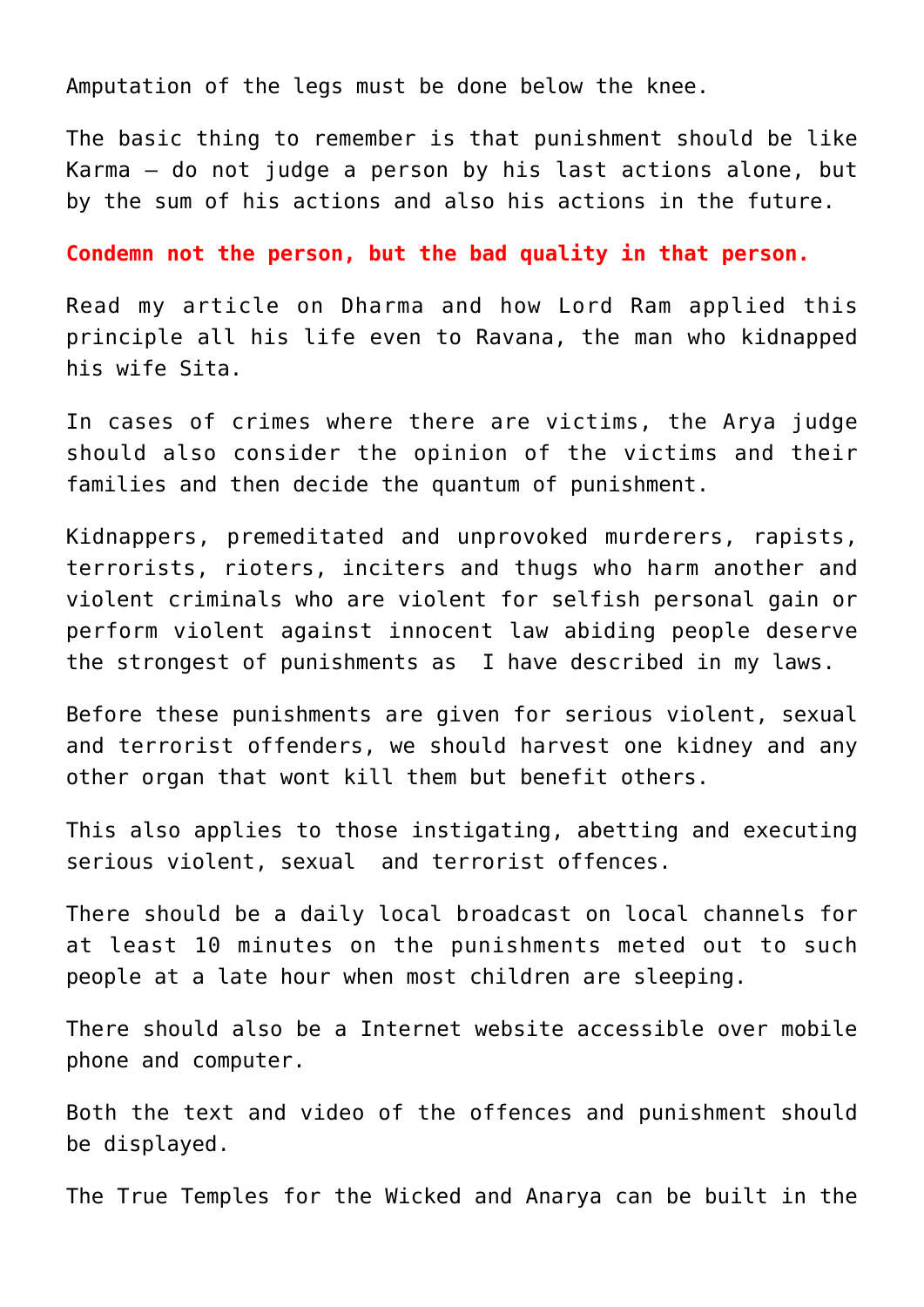Amputation of the legs must be done below the knee.

The basic thing to remember is that punishment should be like Karma — do not judge a person by his last actions alone, but by the sum of his actions and also his actions in the future.

**Condemn not the person, but the bad quality in that person.**

Read my article on [Dharma](http://aryadharma.world/dharma/) and how [Lord Ram](http://en.wikipedia.org/wiki/Rama) applied this principle all his life even to [Ravana](http://en.wikipedia.org/wiki/Ravana), the man who kidnapped his wife [Sita.](http://en.wikipedia.org/wiki/Sita)

In cases of crimes where there are victims, the [Arya](https://aryadharma.world/whoisanarya/) judge should also consider the opinion of the victims and their families and then decide the quantum of punishment.

Kidnappers, premeditated and unprovoked murderers, rapists, terrorists, rioters, inciters and thugs who harm another and violent criminals who are violent for selfish personal gain or perform violent against innocent law abiding people deserve the strongest of punishments as I have described in my laws.

Before these punishments are given for serious violent, sexual and terrorist offenders, we should harvest one kidney and any other organ that wont kill them but benefit others.

This also applies to those instigating, abetting and executing serious [violent, sexual and terrorist offences.](http://aryadharma.world/laws_violenceandsexoffenses/)

There should be a daily local broadcast on local channels for at least 10 minutes on the punishments meted out to such people at a late hour when most children are sleeping.

There should also be a Internet website accessible over mobile phone and computer.

Both the text and video of the offences and punishment should be displayed.

The [True Temples](http://aryadharma.world/concepts/truetemples/) for the [Wicked](http://aryadharma.world/wicked/) and [Anarya](http://aryadharma.world/whoisafool/) can be built in the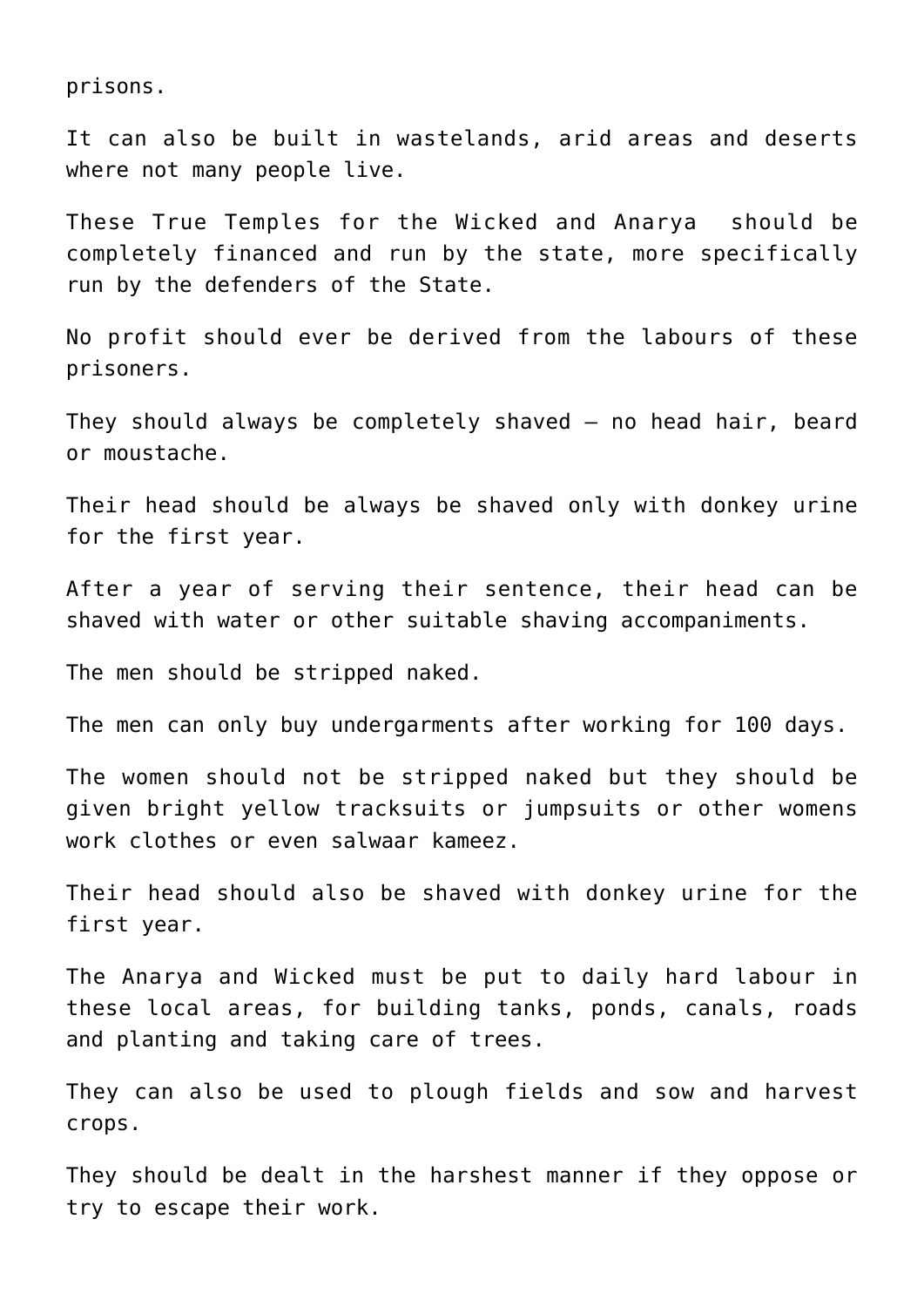prisons.

It can also be built in wastelands, arid areas and deserts where not many people live.

These [True Temples](http://aryadharma.world/concepts/truetemples/) for the [Wicked](http://aryadharma.world/wicked/) and [Anarya](http://aryadharma.world/whoisafool/) should be completely financed and run by the state, more specifically run by the [defenders of the State.](http://aryadharma.world/defendersofthestate/)

No profit should ever be derived from the labours of these prisoners.

They should always be completely shaved — no head hair, beard or moustache.

Their head should be always be shaved only with donkey urine for the first year.

After a year of serving their sentence, their head can be shaved with water or other suitable shaving accompaniments.

The men should be stripped naked.

The men can only buy undergarments after working for 100 days.

The women should not be stripped naked but they should be given bright yellow tracksuits or jumpsuits or other womens work clothes or even salwaar kameez.

Their head should also be shaved with donkey urine for the first year.

The [Anarya](http://aryadharma.world/whoisafool/) and [Wicked](http://aryadharma.world/wicked/) must be put to daily hard labour in these local areas, for building tanks, ponds, canals, roads and planting and taking care of trees.

They can also be used to plough fields and sow and harvest crops.

They should be dealt in the harshest manner if they oppose or try to escape their work.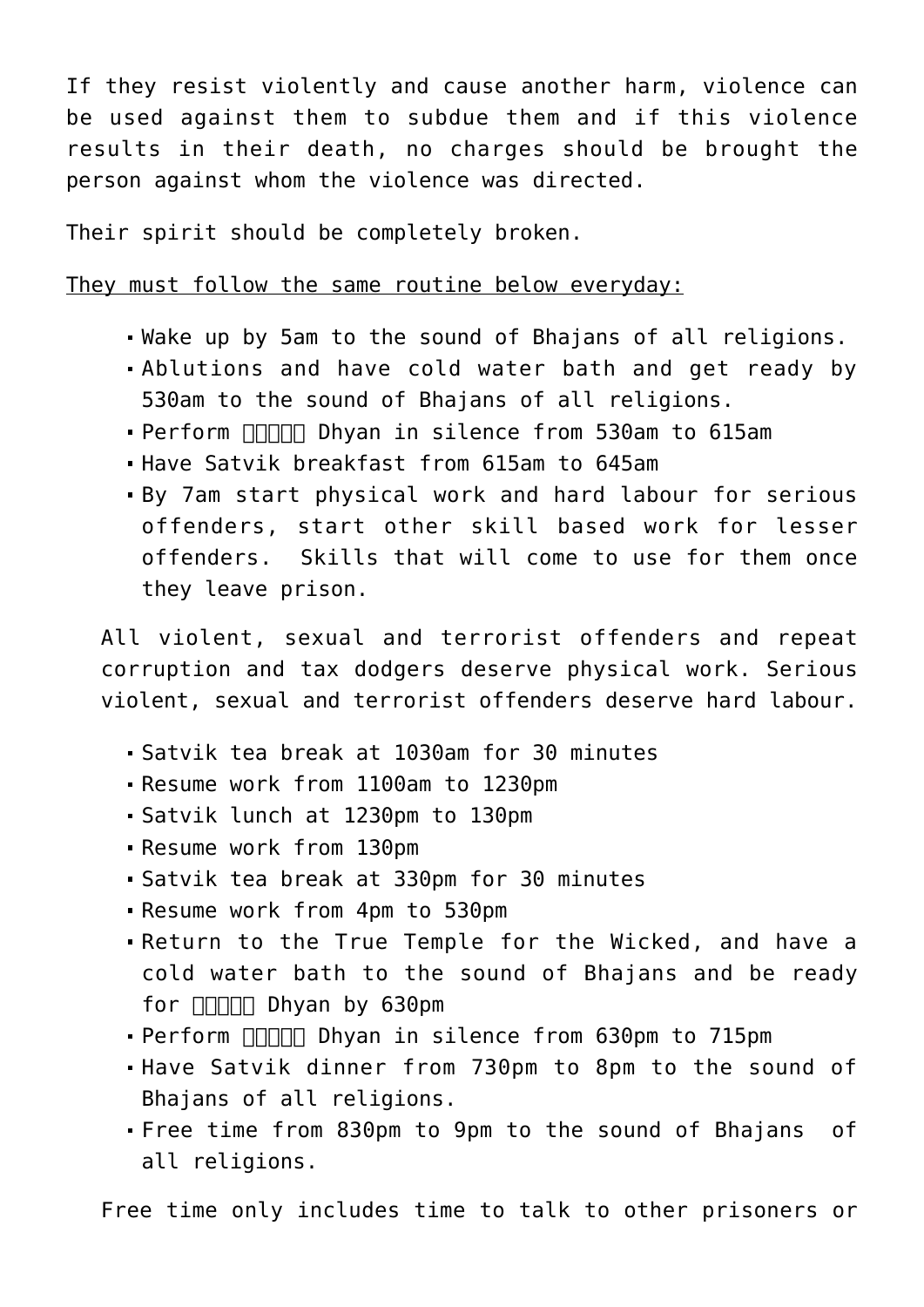If they resist violently and cause another harm, violence can be used against them to subdue them and if this violence results in their death, no charges should be brought the person against whom the violence was directed.

Their spirit should be completely broken.

They must follow the same routine below everyday:

- Wake up by 5am to the sound of [Bhajans](https://en.wikipedia.org/wiki/Bhajan) of all religions.
- Ablutions and have cold water bath and get ready by 530am to the sound of [Bhajans](https://en.wikipedia.org/wiki/Bhajan) of all religions.
- Perform **FIFITH** Dhyan in silence from 530am to 615am
- Have [Satvik](https://en.wikipedia.org/wiki/Sattvic_diet) breakfast from 615am to 645am
- By 7am start physical work and hard labour for serious offenders, start other skill based work for lesser offenders. Skills that will come to use for them once they leave prison.

All violent, sexual and terrorist offenders and repeat corruption and tax dodgers deserve physical work. Serious violent, sexual and terrorist offenders deserve hard labour.

- [Satvik](https://en.wikipedia.org/wiki/Sattvic_diet) tea break at 1030am for 30 minutes
- Resume work from 1100am to 1230pm
- [Satvik](https://en.wikipedia.org/wiki/Sattvic_diet) lunch at 1230pm to 130pm
- Resume work from 130pm
- [Satvik](https://en.wikipedia.org/wiki/Sattvic_diet) tea break at 330pm for 30 minutes
- Resume work from 4pm to 530pm
- Return to the True Temple for the [Wicked,](http://aryadharma.world/wicked/) and have a cold water bath to the sound of [Bhajans](https://en.wikipedia.org/wiki/Bhajan) and be ready for  $\Box$  Dhyan by 630pm
- Perform **FIRITH** Dhyan in silence from 630pm to 715pm
- Have [Satvik](https://en.wikipedia.org/wiki/Sattvic_diet) dinner from 730pm to 8pm to the sound of Bhajans of all religions.
- Free time from 830pm to 9pm to the sound of [Bhajans](https://en.wikipedia.org/wiki/Bhajan) of all religions.

Free time only includes time to talk to other prisoners or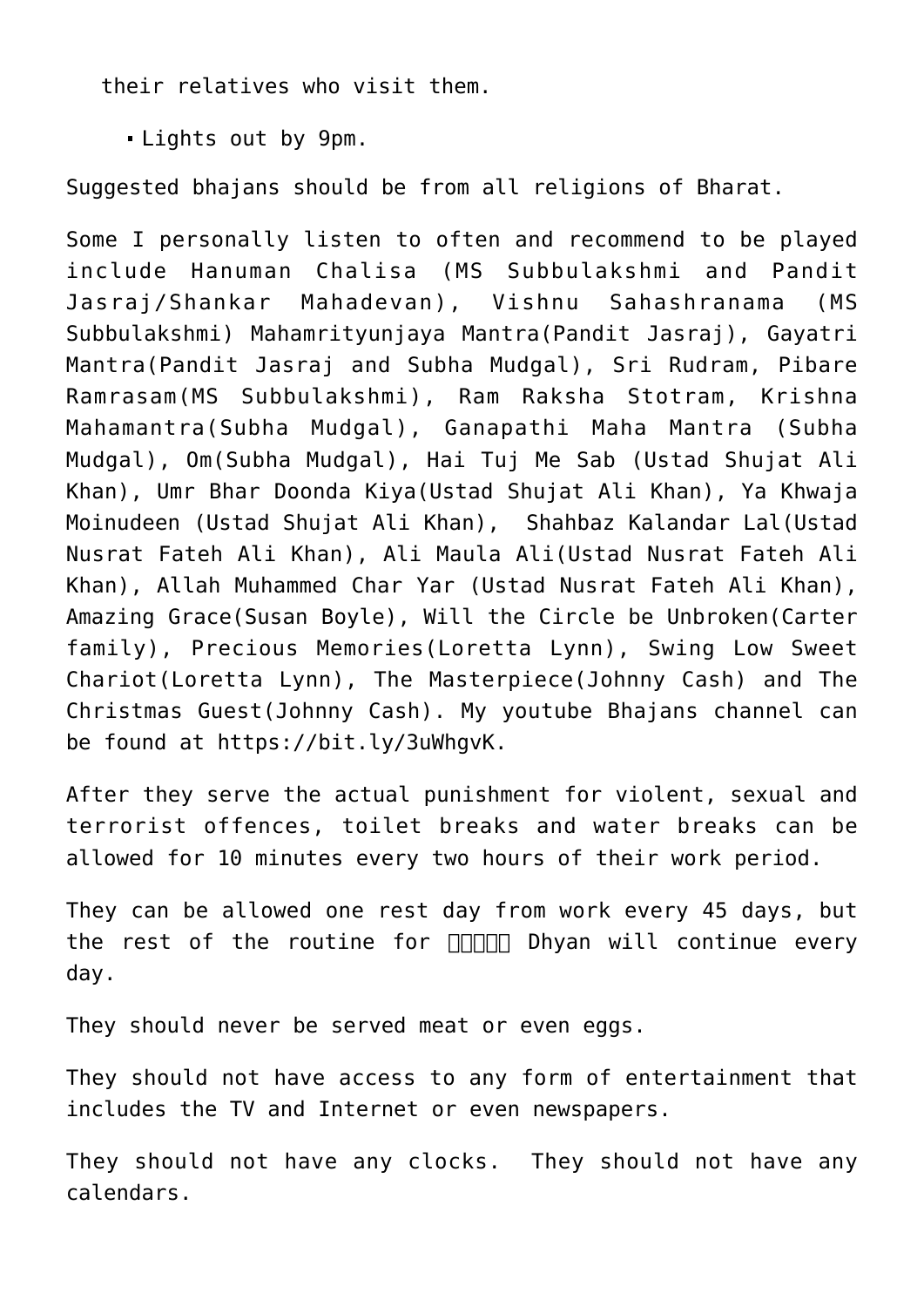their relatives who visit them.

Lights out by 9pm.

Suggested [bhajans](https://en.wikipedia.org/wiki/Bhajan) should be from all religions of [Bharat.](http://aryadharma.world/bharat/)

Some I personally listen to often and recommend to be played include Hanuman Chalisa (MS Subbulakshmi and Pandit Jasraj/Shankar Mahadevan), Vishnu Sahashranama (MS Subbulakshmi) Mahamrityunjaya Mantra(Pandit Jasraj), Gayatri Mantra(Pandit Jasraj and Subha Mudgal), Sri Rudram, Pibare Ramrasam(MS Subbulakshmi), Ram Raksha Stotram, Krishna Mahamantra(Subha Mudgal), Ganapathi Maha Mantra (Subha Mudgal), Om(Subha Mudgal), Hai Tuj Me Sab (Ustad Shujat Ali Khan), Umr Bhar Doonda Kiya(Ustad Shujat Ali Khan), Ya Khwaja Moinudeen (Ustad Shujat Ali Khan), Shahbaz Kalandar Lal(Ustad Nusrat Fateh Ali Khan), Ali Maula Ali(Ustad Nusrat Fateh Ali Khan), Allah Muhammed Char Yar (Ustad Nusrat Fateh Ali Khan), Amazing Grace(Susan Boyle), Will the Circle be Unbroken(Carter family), Precious Memories(Loretta Lynn), Swing Low Sweet Chariot(Loretta Lynn), The Masterpiece(Johnny Cash) and The Christmas Guest(Johnny Cash). My youtube Bhajans channel can be found at [https://bit.ly/3uWhgvK.](https://bit.ly/3uWhgvK)

After they serve the actual punishment for [violent, sexual and](https://aryadharma.world/laws/details-of-the-law/laws_violenceandsexoffenses/) [terrorist offences](https://aryadharma.world/laws/details-of-the-law/laws_violenceandsexoffenses/), toilet breaks and water breaks can be allowed for 10 minutes every two hours of their work period.

They can be allowed one rest day from work every 45 days, but the rest of the routine for **FIFILED** Dhyan will continue every day.

They should never be served meat or even eggs.

They should not have access to any form of entertainment that includes the TV and Internet or even newspapers.

They should not have any clocks. They should not have any calendars.